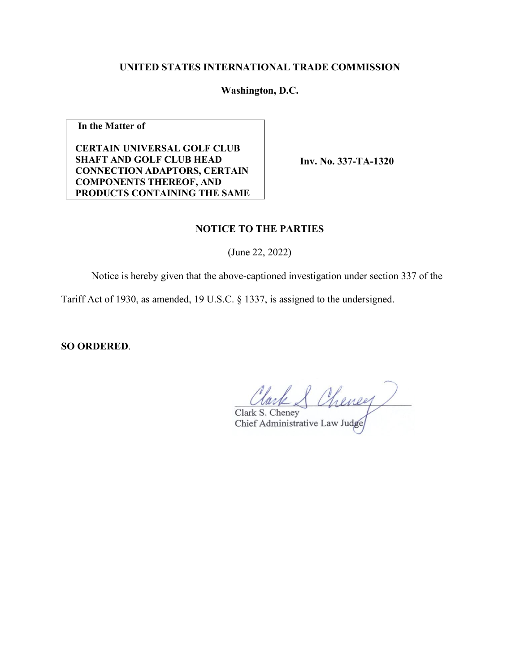# **UNITED STATES INTERNATIONAL TRADE COMMISSION**

**Washington, D.C.**

**In the Matter of** 

**CERTAIN UNIVERSAL GOLF CLUB SHAFT AND GOLF CLUB HEAD CONNECTION ADAPTORS, CERTAIN COMPONENTS THEREOF, AND PRODUCTS CONTAINING THE SAME** 

**Inv. No. 337-TA-1320**

### **NOTICE TO THE PARTIES**

(June 22, 2022)

Notice is hereby given that the above-captioned investigation under section 337 of the

Tariff Act of 1930, as amended, 19 U.S.C. § 1337, is assigned to the undersigned.

**SO ORDERED**.

Clark & Cheney

Chief Administrative Law Judge